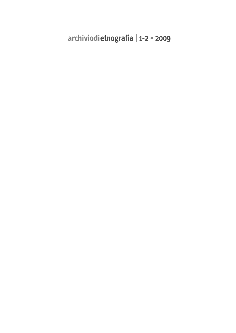**archiviodietnografia | 1-2 • 2009**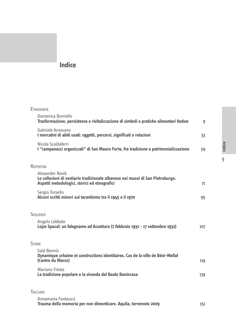# **Indice**

| <b>ETNOGRAFIE</b>                                                                                                                                 |     |
|---------------------------------------------------------------------------------------------------------------------------------------------------|-----|
| Domenica Borriello<br>Trasformazione, persistenze e rivitalizzazione di simboli e pratiche alimentari festive                                     | 9   |
| Gabriele Arnesano<br>I mercatini di abiti usati: oggetti, percorsi, significati e relazioni                                                       | 33  |
| Nicola Scaldaferri<br>I "campanacci organizzati" di San Mauro Forte, fra tradizione e patrimonializzazione                                        | 59  |
| REPERTORI                                                                                                                                         |     |
| Alexander Novik<br>Le collezioni di vestiario tradizionale albanese nei musei di San Pietroburgo.<br>Aspetti metodologici, storici ed etnografici | 71  |
| Sergio Torsello<br>Alcuni scritti minori sul tarantismo tra il 1945 e il 1970                                                                     | 95  |
| <b>SEQUENZE</b>                                                                                                                                   |     |
| Angelo Labbate<br>Lojze Spacal: un falegname ad Accettura (7 febbraio 1931 - 17 settembre 1932)                                                   | 107 |
| <b>STORIE</b>                                                                                                                                     |     |
| Saïd Bennis<br>Dynamique urbaine et constructions identitaires. Cas de la ville de Béni-Mellal<br>(Centre du Maroc)                               | 119 |
| Mariano Fresta<br>La tradizione popolare e la vicenda del Beato Benincasa                                                                         | 139 |
| TACCUINO                                                                                                                                          |     |
| Annamaria Fantauzzi<br>Trauma della memoria per non dimenticare. Aquila, terremoto 2009                                                           | 151 |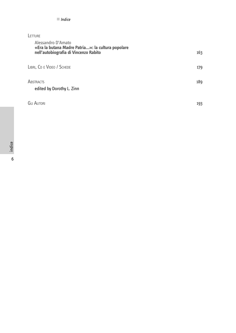### **LETTURE**

| Alessandro D'Amato<br>«Era la butana Madre Patria»: la cultura popolare<br>nell'autobiografia di Vincenzo Rabito | 163 |
|------------------------------------------------------------------------------------------------------------------|-----|
| LIBRI, CD E VIDEO / SCHEDE                                                                                       | 179 |
| <b>ABSTRACTS</b><br>edited by Dorothy L. Zinn                                                                    | 189 |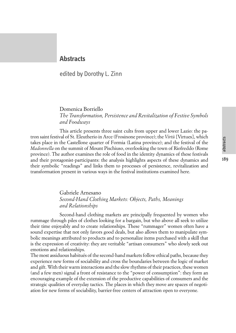# abstracts

## **Abstracts**

## edited by Dorothy L. Zinn

## Domenica Borriello *The Transformation, Persistence and Revitalization of Festive Symbols and Foodways*

This article presents three saint cults from upper and lower Lazio: the patron saint festival of St. Eleutherio in Arce (Frosinone province); the *Virtù* [Virtues], which takes place in the Castellone quarter of Formia (Latina province); and the festival of the *Madonnella* on the summit of Mount Pischiuso, overlooking the town of Riofreddo (Rome province). The author examines the role of food in the identity dynamics of these festivals and their protagonist-participants: the analysis highlights aspects of these dynamics and their symbolic "readings" and links them to processes of persistence, revitalization and transformation present in various ways in the festival institutions examined here.

#### Gabriele Arnesano *Second-Hand Clothing Markets: Objects, Paths, Meanings and Relationships*

Second-hand clothing markets are principally frequented by women who rummage through piles of clothes looking for a bargain, but who above all seek to utilize their time enjoyably and to create relationships. These "rummager" women often have a sound expertise that not only favors good deals, but also allows them to manipulate symbolic meanings attributed to products and to personalize items purchased with a skill that is the expression of creativity: they are veritable "artisan consumers" who slowly seek out emotions and relationships.

The most assiduous habitués of the second-hand markets follow ethical paths, because they experience new forms of sociability and cross the boundaries between the logic of market and gift. With their warm interactions and the slow rhythms of their practices, these women (and a few men) signal a front of resistance to the "power of consumption": they form an encouraging example of the extension of the productive capabilities of consumers and the strategic qualities of everyday tactics. The places in which they move are spaces of negotiation for new forms of sociability, barrier-free centers of attraction open to everyone.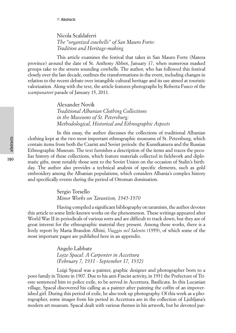Nicola Scaldaferri *The "organized cowbells" of San Mauro Forte: Tradition and Heritage-making*

This article examines the festival that takes in San Mauro Forte (Matera province) around the date of St. Anthony Abbot, January 17, when numerous masked groups take to the streets sounding cowbells. The author, who has followed this festival closely over the last decade, outlines the transformations in the event, including changes in relation to the recent debate over intangible cultural heritage and its use aimed at touristic valorization. Along with the text, the article features photographs by Roberta Fusco of the *scampanatori* parade of January 15, 2011.

> Alexander Novik *Traditional Albanian Clothing Collections in the Museums of St. Petersburg: Methodological, Historical and Ethnographic Aspects*

In this essay, the author discusses the collections of traditional Albanian clothing kept at the two most important ethnographic museums of St. Petersburg, which contain items from both the Czarist and Soviet periods: the Kunstkamera and the Russian Ethnographic Museum. The text furnishes a description of the items and traces the peculiar history of these collections, which feature materials collected in fieldwork and diplomatic gifts, most notably those sent to the Soviet Union on the occasion of Stalin's birthday. The author also provides a technical analysis of specific elements, such as gold embroidery among the Albanian populations, which considers Albania's complex history and specifically events during the period of Ottoman domination.

> Sergio Torsello *Minor Works on Tarantism, 1945-1970*

Having compiled a significant bibliography on tarantism, the author devotes this article to some little-known works on the phenomenon. These writings appeared after World War II in periodicals of various sorts and are difficult to track down, but they are of great interest for the ethnographic material they present. Among these works, there is a lively report by Maria Brandon Albini, *Viaggio nel Salento* (1959), of which some of the most important pages are published here in an appendix.

> Angelo Labbate *Lojze Spacal: A Carpenter in Accettura (February 7, 1931 - September 17, 1932)*

Luigi Spacal was a painter, graphic designer and photographer born to a poor family in Trieste in 1907. Due to his anti-Fascist activity, in 1931 the Prefecture of Trieste sentenced him to police exile, to be served in Accettura, Basilicata. In this Lucanian village, Spacal discovered his calling as a painter after painting the coffin of an impoverished girl. During this period of exile, he also took up photography. Of this work as a photographer, some images from his period in Accettura are in the collection of Ljubljana's modern art museum. Spacal dealt with various themes in his artwork, but he devoted par-

190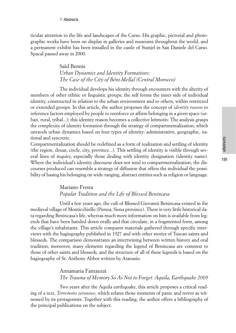191

ticular attention to the life and landscapes of the Carso. His graphic, pictorial and photographic works have been on display in galleries and museums throughout the world, and a permanent exhibit has been installed in the castle of Stanjel in San Daniele del Carso. Spacal passed away in 2000.

> Saïd Bennis *Urban Dynamics and Identity Formations: The Case of the City of Béni-Mellal (Central Morocco)*

The individual develops his identity through encounters with the alterity of members of other ethnic or linguistic groups; the self forms the inner side of individual identity, constructed in relation to the urban environment and to others, within restricted or extended groups. In this article, the author proposes the concept of *identity reason* to reference factors employed by people to reenforce or affirm belonging in a given space (urban, rural, tribal...); this identity reason becomes a collective leitmotiv. The analysis grasps the complexity of identity formation through the strategy of compartmentalization, which unravels urban dynamics based on four types of identity: administrative, geographic, national and syncretic.

Compartmentalization should be redefined as a form of realization and settling of identity (the region, douar, circle, city, province...). This settling of identity is visible through several lines of inquiry, especially those dealing with identity designation (identity name). Where the individual's identity discourse does not tend to compartmentalization, the discourses produced can resemble a strategy of diffusion that offers the individual the possibility of basing his belonging on wide-ranging, abstract entities such as religion or language.

## Mariano Fresta *Popular Tradition and the Life of Blessed Benincasa*

Until a few years ago, the cult of Blessed Giovanni Benincasa existed in the medieval village of Monticchiello (Pienza, Siena province). There is very little historical data regarding Benincasa's life, whereas much more information on him is available from legends that have been handed down orally and that circulate, in a fragmented form, among the village's inhabitants. This article compares materials gathered through specific interviews with the hagiography published in 1927 and with other stories of Tuscan saints and blesseds. The comparison demonstrates an intertwining between written history and oral tradition; moreover, many elements regarding the legend of Benincasa are common to those of other saints and blesseds, and the structure of all of these legends is based on the hagiography of St. Anthony Abbot written by Atanasio.

## Annamaria Fantauzzi *The Trauma of Memory So As Not to Forget: Aquila, Earthquake 2009*

Two years after the Aquila earthquake, this article proposes a critical reading of a text, *Terremoto zeronove*, which relates those moments of panic and terror as witnessed by its protagonists. Together with this reading, the author offers a bibliography of the principal publications on the subject.